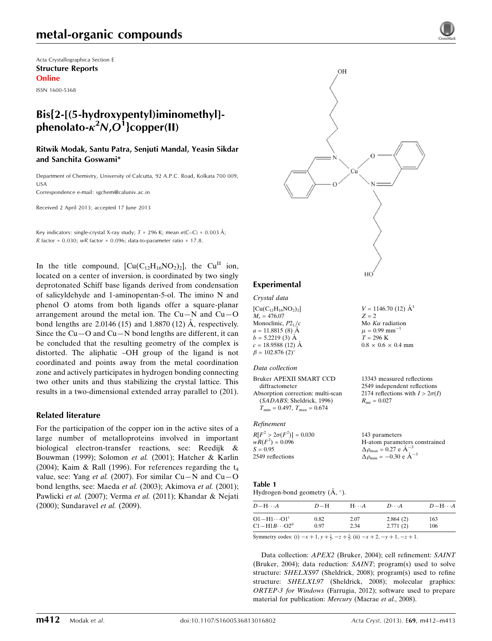## metal-organic compounds

Acta Crystallographica Section E Structure Reports Online

ISSN 1600-5368

### Bis{2-[(5-hydroxypentyl)iminomethyl] phenolato- $\kappa^2$ N, $O^{\dot 1}$ }copper(II)

Ritwik Modak, Santu Patra, Senjuti Mandal, Yeasin Sikdar and Sanchita Goswami\*

Department of Chemistry, University of Calcutta, 92 A.P.C. Road, Kolkata 700 009, USA

Correspondence e-mail: [sgchem@caluniv.ac.in](http://scripts.iucr.org/cgi-bin/cr.cgi?rm=pdfbb&cnor=bv2221&bbid=BB16)

Received 2 April 2013; accepted 17 June 2013

Key indicators: single-crystal X-ray study;  $T = 296$  K; mean  $\sigma$ (C–C) = 0.003 Å; R factor =  $0.030$ ; wR factor =  $0.096$ ; data-to-parameter ratio =  $17.8$ .

In the title compound,  $\left[\text{Cu}(C_{12}H_{16}NO_2)_2\right]$ , the Cu<sup>II</sup> ion, located on a center of inversion, is coordinated by two singly deprotonated Schiff base ligands derived from condensation of salicyldehyde and 1-aminopentan-5-ol. The imino N and phenol O atoms from both ligands offer a square-planar arrangement around the metal ion. The  $Cu-N$  and  $Cu-O$ bond lengths are  $2.0146(15)$  and  $1.8870(12)$  Å, respectively. Since the  $Cu - O$  and  $Cu - N$  bond lengths are different, it can be concluded that the resulting geometry of the complex is distorted. The aliphatic –OH group of the ligand is not coordinated and points away from the metal coordination zone and actively participates in hydrogen bonding connecting two other units and thus stabilizing the crystal lattice. This results in a two-dimensional extended array parallel to (201).

#### Related literature

For the participation of the copper ion in the active sites of a large number of metalloproteins involved in important biological electron-transfer reactions, see: Reedijk & Bouwman (1999); Solomon et al. (2001); Hatcher & Karlin (2004); Kaim & Rall (1996). For references regarding the  $t_4$ value, see: Yang et al. (2007). For similar Cu-N and Cu-O bond lengths, see: Maeda et al. (2003); Akimova et al. (2001); Pawlicki et al. (2007); Verma et al. (2011); Khandar & Nejati (2000); Sundaravel et al. (2009).



 $V = 1146.70$  (12)  $\AA^3$ 

13343 measured reflections 2549 independent reflections 2174 reflections with  $I > 2\sigma(I)$ 

Mo  $K\alpha$  radiation  $\mu = 0.99$  mm<sup>-1</sup>  $T = 296$  K  $0.8 \times 0.6 \times 0.4$  mm

 $R_{\text{int}} = 0.027$ 

 $Z = 2$ 

| Crystal data                       |
|------------------------------------|
| $[Cu(C_{12}H_{16}NO_2)_2]$         |
| $M_r = 476.07$                     |
| Monoclinic, $P21/c$                |
| $a = 11.8815(8)$ Å                 |
| $b = 5.2219$ (3) Å                 |
| $c = 18.9588(12)$ Å                |
| $\beta = 102.876$ (2) <sup>o</sup> |

#### Data collection

Bruker APEXII SMART CCD

diffractometer Absorption correction: multi-scan (SADABS; Sheldrick, 1996)  $T_{\min} = 0.497, T_{\max} = 0.674$ 

#### Refinement

 $R[F^2 > 2\sigma(F^2)] = 0.030$  $wR(F^2) = 0.096$  $S = 0.95$ 2549 reflections 143 parameters H-atom parameters constrained  $\Delta \rho_{\text{max}} = 0.27 \text{ e A}^{-3}$  $\Delta \rho_{\text{min}} = -0.30 \text{ e A}^{-3}$ 

### Table 1

| Hydrogen-bond geometry $(\AA, \degree)$ . |  |  |
|-------------------------------------------|--|--|
|-------------------------------------------|--|--|

| $D - H \cdots A$                                                       | $D-H$        | $H\cdots A$        | $D\cdots A$          | $D - H \cdots A$ |
|------------------------------------------------------------------------|--------------|--------------------|----------------------|------------------|
| $O1 - H1 \cdots O1$ <sup>1</sup><br>$C1 - H1B \cdots O2$ <sup>ii</sup> | 0.82<br>0.97 | 2.07<br>2.34       | 2.864(2)<br>2.771(2) | 163<br>106       |
| $\alpha$ $\alpha$ $\beta$ $\beta$                                      |              | $\cdots$<br>$\sim$ |                      |                  |

Symmetry codes: (i)  $-x + 1$ ,  $y + \frac{1}{2}$ ,  $-z + \frac{3}{2}$ ; (ii)  $-x + 2$ ,  $-y + 1$ ,  $-z + 1$ .

Data collection: APEX2 (Bruker, 2004); cell refinement: SAINT (Bruker, 2004); data reduction: SAINT; program(s) used to solve structure: SHELXS97 (Sheldrick, 2008); program(s) used to refine structure: SHELXL97 (Sheldrick, 2008); molecular graphics: ORTEP-3 for Windows (Farrugia, 2012); software used to prepare material for publication: Mercury (Macrae et al., 2008).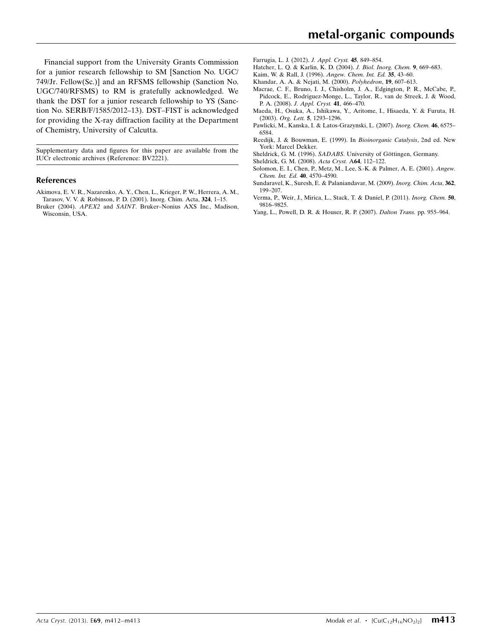Financial support from the University Grants Commission for a junior research fellowship to SM [Sanction No. UGC/ 749/Jr. Fellow(Sc.)] and an RFSMS fellowship (Sanction No. UGC/740/RFSMS) to RM is gratefully acknowledged. We thank the DST for a junior research fellowship to YS (Sanction No. SERB/F/1585/2012–13). DST–FIST is acknowledged for providing the X-ray diffraction facility at the Department of Chemistry, University of Calcutta.

Supplementary data and figures for this paper are available from the IUCr electronic archives (Reference: BV2221).

#### References

- [Akimova, E. V. R., Nazarenko, A. Y., Chen, L., Krieger, P. W., Herrera, A. M.,](http://scripts.iucr.org/cgi-bin/cr.cgi?rm=pdfbb&cnor=bv2221&bbid=BB1) [Tarasov, V. V. & Robinson, P. D. \(2001\). Inorg. Chim. Acta,](http://scripts.iucr.org/cgi-bin/cr.cgi?rm=pdfbb&cnor=bv2221&bbid=BB1) 324, 1–15.
- Bruker (2004). APEX2 and SAINT[. Bruker–Nonius AXS Inc., Madison,](http://scripts.iucr.org/cgi-bin/cr.cgi?rm=pdfbb&cnor=bv2221&bbid=BB2) [Wisconsin, USA.](http://scripts.iucr.org/cgi-bin/cr.cgi?rm=pdfbb&cnor=bv2221&bbid=BB2)
- [Farrugia, L. J. \(2012\).](http://scripts.iucr.org/cgi-bin/cr.cgi?rm=pdfbb&cnor=bv2221&bbid=BB3) J. Appl. Cryst. 45, 849–854.
- [Hatcher, L. Q. & Karlin, K. D. \(2004\).](http://scripts.iucr.org/cgi-bin/cr.cgi?rm=pdfbb&cnor=bv2221&bbid=BB4) J. Biol. Inorg. Chem. 9, 669–683.
- [Kaim, W. & Rall, J. \(1996\).](http://scripts.iucr.org/cgi-bin/cr.cgi?rm=pdfbb&cnor=bv2221&bbid=BB5) Angew. Chem. Int. Ed. 35, 43–60.
- [Khandar, A. A. & Nejati, M. \(2000\).](http://scripts.iucr.org/cgi-bin/cr.cgi?rm=pdfbb&cnor=bv2221&bbid=BB6) Polyhedron, 19, 607–613.
- [Macrae, C. F., Bruno, I. J., Chisholm, J. A., Edgington, P. R., McCabe, P.,](http://scripts.iucr.org/cgi-bin/cr.cgi?rm=pdfbb&cnor=bv2221&bbid=BB7) [Pidcock, E., Rodriguez-Monge, L., Taylor, R., van de Streek, J. & Wood,](http://scripts.iucr.org/cgi-bin/cr.cgi?rm=pdfbb&cnor=bv2221&bbid=BB7) P. A. (2008). [J. Appl. Cryst.](http://scripts.iucr.org/cgi-bin/cr.cgi?rm=pdfbb&cnor=bv2221&bbid=BB7) 41, 466–470.
- [Maeda, H., Osuka, A., Ishikawa, Y., Aritome, I., Hisaeda, Y. & Furuta, H.](http://scripts.iucr.org/cgi-bin/cr.cgi?rm=pdfbb&cnor=bv2221&bbid=BB8) (2003). Org. Lett. 5[, 1293–1296.](http://scripts.iucr.org/cgi-bin/cr.cgi?rm=pdfbb&cnor=bv2221&bbid=BB8)
- [Pawlicki, M., Kanska, I. & Latos-Grazynski, L. \(2007\).](http://scripts.iucr.org/cgi-bin/cr.cgi?rm=pdfbb&cnor=bv2221&bbid=BB9) Inorg. Chem. 46, 6575– [6584.](http://scripts.iucr.org/cgi-bin/cr.cgi?rm=pdfbb&cnor=bv2221&bbid=BB9)
- [Reedijk, J. & Bouwman, E. \(1999\). In](http://scripts.iucr.org/cgi-bin/cr.cgi?rm=pdfbb&cnor=bv2221&bbid=BB10) Bioinorganic Catalysis, 2nd ed. New [York: Marcel Dekker.](http://scripts.iucr.org/cgi-bin/cr.cgi?rm=pdfbb&cnor=bv2221&bbid=BB10)
- Sheldrick, G. M. (1996). SADABS. University of Göttingen, Germany.
- [Sheldrick, G. M. \(2008\).](http://scripts.iucr.org/cgi-bin/cr.cgi?rm=pdfbb&cnor=bv2221&bbid=BB12) Acta Cryst. A64, 112–122.
- [Solomon, E. I., Chen, P., Metz, M., Lee, S.-K. & Palmer, A. E. \(2001\).](http://scripts.iucr.org/cgi-bin/cr.cgi?rm=pdfbb&cnor=bv2221&bbid=BB13) Angew. [Chem. Int. Ed.](http://scripts.iucr.org/cgi-bin/cr.cgi?rm=pdfbb&cnor=bv2221&bbid=BB13) 40, 4570–4590.
- [Sundaravel, K., Suresh, E. & Palaniandavar, M. \(2009\).](http://scripts.iucr.org/cgi-bin/cr.cgi?rm=pdfbb&cnor=bv2221&bbid=BB14) Inorg. Chim. Acta, 362, [199–207.](http://scripts.iucr.org/cgi-bin/cr.cgi?rm=pdfbb&cnor=bv2221&bbid=BB14)
- [Verma, P., Weir, J., Mirica, L., Stack, T. & Daniel, P. \(2011\).](http://scripts.iucr.org/cgi-bin/cr.cgi?rm=pdfbb&cnor=bv2221&bbid=BB15) Inorg. Chem. 50, [9816–9825.](http://scripts.iucr.org/cgi-bin/cr.cgi?rm=pdfbb&cnor=bv2221&bbid=BB15)
- [Yang, L., Powell, D. R. & Houser, R. P. \(2007\).](http://scripts.iucr.org/cgi-bin/cr.cgi?rm=pdfbb&cnor=bv2221&bbid=BB16) Dalton Trans. pp. 955–964.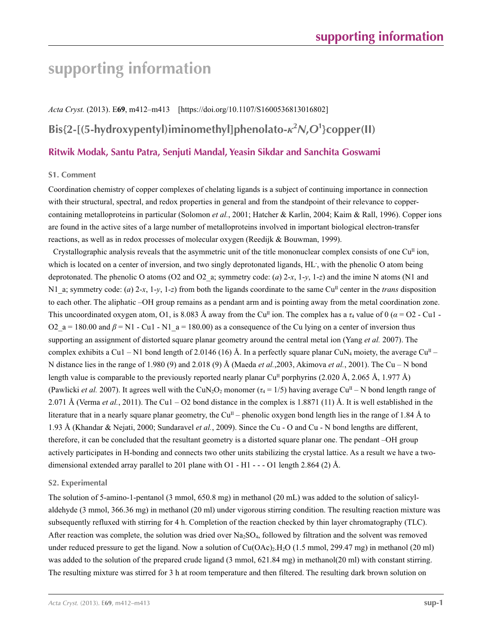# **supporting information**

*Acta Cryst.* (2013). E**69**, m412–m413 [https://doi.org/10.1107/S1600536813016802] **Bis{2-[(5-hydroxypentyl)iminomethyl]phenolato-***κ***<sup>2</sup>** *N***,***O***<sup>1</sup> }copper(II) Ritwik Modak, Santu Patra, Senjuti Mandal, Yeasin Sikdar and Sanchita Goswami**

#### **S1. Comment**

Coordination chemistry of copper complexes of chelating ligands is a subject of continuing importance in connection with their structural, spectral, and redox properties in general and from the standpoint of their relevance to coppercontaining metalloproteins in particular (Solomon *et al.*, 2001; Hatcher & Karlin, 2004; Kaim & Rall, 1996). Copper ions are found in the active sites of a large number of metalloproteins involved in important biological electron-transfer reactions, as well as in redox processes of molecular oxygen (Reedijk & Bouwman, 1999).

Crystallographic analysis reveals that the asymmetric unit of the title mononuclear complex consists of one  $Cu<sup>II</sup>$  ion, which is located on a center of inversion, and two singly deprotonated ligands, HL- , with the phenolic O atom being deprotonated. The phenolic O atoms (O2 and O2 a; symmetry code: (*a*) 2-*x*, 1-*y*, 1-*z*) and the imine N atoms (N1 and N1 a; symmetry code: (*a*) 2-*x*, 1-*y*, 1-*z*) from both the ligands coordinate to the same Cu<sup>II</sup> center in the *trans* disposition to each other. The aliphatic –OH group remains as a pendant arm and is pointing away from the metal coordination zone. This uncoordinated oxygen atom, O1, is 8.083 Å away from the Cu<sup>II</sup> ion. The complex has a  $\tau_4$  value of 0 ( $\alpha$  = O2 - Cu1 -O2  $a = 180.00$  and  $\beta = N1 - Cu1 - N1$   $a = 180.00$  as a consequence of the Cu lying on a center of inversion thus supporting an assignment of distorted square planar geometry around the central metal ion (Yang *et al.* 2007). The complex exhibits a Cu1 – N1 bond length of 2.0146 (16) Å. In a perfectly square planar CuN<sub>4</sub> moiety, the average Cu<sup>II</sup> – N distance lies in the range of 1.980 (9) and 2.018 (9) Å (Maeda *et al.*,2003, Akimova *et al.*, 2001). The Cu – N bond length value is comparable to the previously reported nearly planar Cu<sup>II</sup> porphyrins (2.020 Å, 2.065 Å, 1.977 Å) (Pawlicki *et al.* 2007). It agrees well with the CuN<sub>2</sub>O<sub>2</sub> monomer ( $\tau_4 = 1/5$ ) having average Cu<sup>II</sup> – N bond length range of 2.071 Å (Verma *et al.*, 2011). The Cu1 – O2 bond distance in the complex is 1.8871 (11) Å. It is well established in the literature that in a nearly square planar geometry, the Cu<sup>II</sup> – phenolic oxygen bond length lies in the range of 1.84 Å to 1.93 Å (Khandar & Nejati, 2000; Sundaravel *et al.*, 2009). Since the Cu - O and Cu - N bond lengths are different, therefore, it can be concluded that the resultant geometry is a distorted square planar one. The pendant –OH group actively participates in H-bonding and connects two other units stabilizing the crystal lattice. As a result we have a twodimensional extended array parallel to 201 plane with  $O1 - H1 - - -O1$  length 2.864 (2) Å.

#### **S2. Experimental**

The solution of 5-amino-1-pentanol (3 mmol, 650.8 mg) in methanol (20 mL) was added to the solution of salicylaldehyde (3 mmol, 366.36 mg) in methanol (20 ml) under vigorous stirring condition. The resulting reaction mixture was subsequently refluxed with stirring for 4 h. Completion of the reaction checked by thin layer chromatography (TLC). After reaction was complete, the solution was dried over  $Na<sub>2</sub>SO<sub>4</sub>$ , followed by filtration and the solvent was removed under reduced pressure to get the ligand. Now a solution of Cu(OAc)<sub>2</sub>.H<sub>2</sub>O (1.5 mmol, 299.47 mg) in methanol (20 ml) was added to the solution of the prepared crude ligand (3 mmol, 621.84 mg) in methanol(20 ml) with constant stirring. The resulting mixture was stirred for 3 h at room temperature and then filtered. The resulting dark brown solution on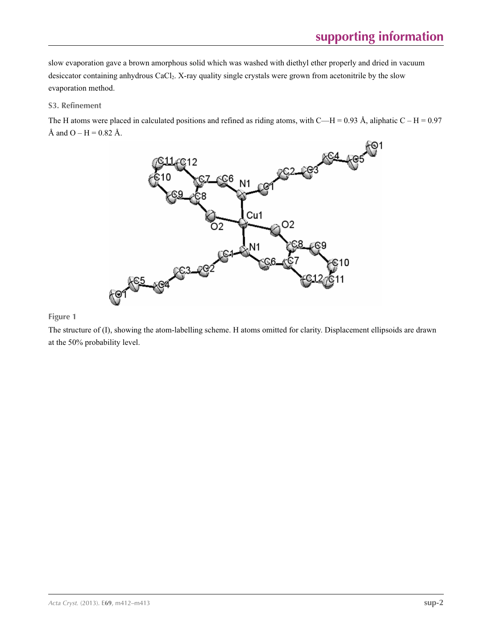slow evaporation gave a brown amorphous solid which was washed with diethyl ether properly and dried in vacuum desiccator containing anhydrous CaCl<sub>2</sub>. X-ray quality single crystals were grown from acetonitrile by the slow evaporation method.

#### **S3. Refinement**

The H atoms were placed in calculated positions and refined as riding atoms, with C—H = 0.93 Å, aliphatic C – H = 0.97 Å and  $O - H = 0.82$  Å.



#### **Figure 1**

The structure of (I), showing the atom-labelling scheme. H atoms omitted for clarity. Displacement ellipsoids are drawn at the 50% probability level.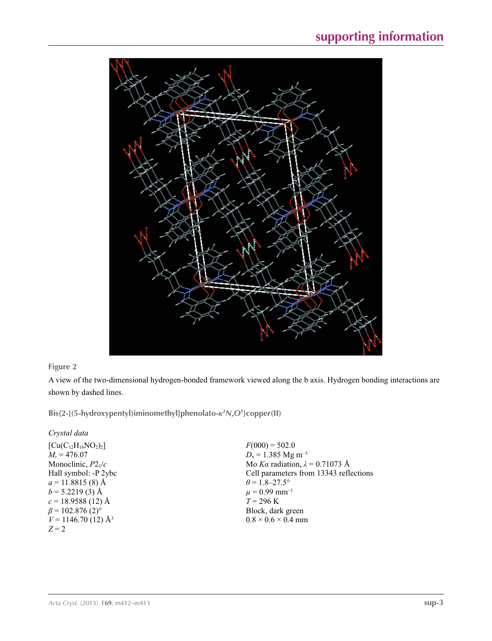

#### **Figure 2**

A view of the two-dimensional hydrogen-bonded framework viewed along the b axis. Hydrogen bonding interactions are shown by dashed lines.

**Bis{2-[(5-hydroxypentyl)iminomethyl]phenolato-***κ***<sup>2</sup>** *N***,***O***<sup>1</sup> }copper(II)** 

*Crystal data*

| $[Cu(C_{12}H_{16}NO_2)_2]$         |
|------------------------------------|
| $M_r = 476.07$                     |
| Monoclinic, $P2_1/c$               |
| Hall symbol: -P 2ybc               |
| $a = 11.8815(8)$ Å                 |
| $b = 5.2219(3)$ Å                  |
| $c = 18.9588(12)$ Å                |
| $\beta$ = 102.876 (2) <sup>o</sup> |
| $V = 1146.70(12)$ Å <sup>3</sup>   |
| $Z = 2$                            |

 $F(000) = 502.0$ *D*<sub>x</sub> = 1.385 Mg m<sup>-3</sup> Mo *Kα* radiation, *λ* = 0.71073 Å Cell parameters from 13343 reflections  $\theta$  = 1.8–27.5°  $\mu$  = 0.99 mm<sup>-1</sup>  $T = 296 \text{ K}$ Block, dark green  $0.8 \times 0.6 \times 0.4$  mm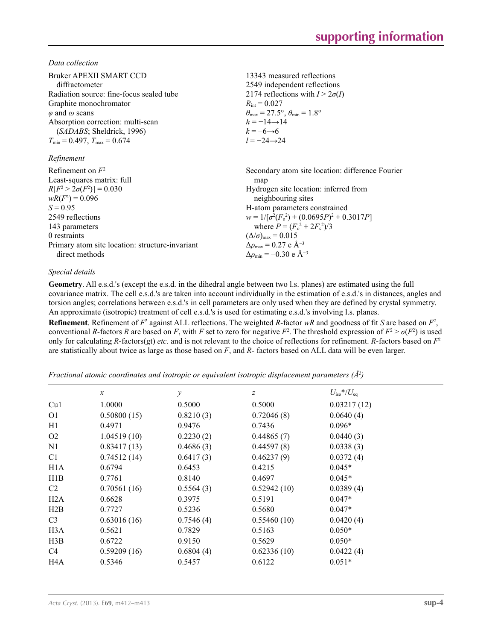*Data collection*

| Bruker APEXII SMART CCD<br>diffractometer<br>Radiation source: fine-focus sealed tube<br>Graphite monochromator<br>$\varphi$ and $\omega$ scans<br>Absorption correction: multi-scan<br>( <i>SADABS</i> ; Sheldrick, 1996)<br>$T_{\min}$ = 0.497, $T_{\max}$ = 0.674<br>Refinement | 13343 measured reflections<br>2549 independent reflections<br>2174 reflections with $I > 2\sigma(I)$<br>$R_{\rm int} = 0.027$<br>$\theta_{\text{max}} = 27.5^{\circ}, \theta_{\text{min}} = 1.8^{\circ}$<br>$h = -14 \rightarrow 14$<br>$k = -6 \rightarrow 6$<br>$l = -24 \rightarrow 24$ |
|------------------------------------------------------------------------------------------------------------------------------------------------------------------------------------------------------------------------------------------------------------------------------------|--------------------------------------------------------------------------------------------------------------------------------------------------------------------------------------------------------------------------------------------------------------------------------------------|
| Refinement on $F^2$                                                                                                                                                                                                                                                                | Secondary atom site location: difference Fourier                                                                                                                                                                                                                                           |
| Least-squares matrix: full                                                                                                                                                                                                                                                         | map                                                                                                                                                                                                                                                                                        |
| $R[F^2 > 2\sigma(F^2)] = 0.030$                                                                                                                                                                                                                                                    | Hydrogen site location: inferred from                                                                                                                                                                                                                                                      |
| $wR(F^2) = 0.096$                                                                                                                                                                                                                                                                  | neighbouring sites                                                                                                                                                                                                                                                                         |
| $S = 0.95$                                                                                                                                                                                                                                                                         | H-atom parameters constrained                                                                                                                                                                                                                                                              |
| 2549 reflections                                                                                                                                                                                                                                                                   | $w = 1/[\sigma^2(F_0^2) + (0.0695P)^2 + 0.3017P]$                                                                                                                                                                                                                                          |
| 143 parameters                                                                                                                                                                                                                                                                     | where $P = (F_0^2 + 2F_c^2)/3$                                                                                                                                                                                                                                                             |
| 0 restraints                                                                                                                                                                                                                                                                       | $(\Delta/\sigma)_{\text{max}} = 0.015$                                                                                                                                                                                                                                                     |
| Primary atom site location: structure-invariant                                                                                                                                                                                                                                    | $\Delta\rho_{\rm max}$ = 0.27 e Å <sup>-3</sup>                                                                                                                                                                                                                                            |
| direct methods                                                                                                                                                                                                                                                                     | $\Delta\rho_{\rm min} = -0.30 \text{ e A}^{-3}$                                                                                                                                                                                                                                            |

#### *Special details*

**Geometry**. All e.s.d.'s (except the e.s.d. in the dihedral angle between two l.s. planes) are estimated using the full covariance matrix. The cell e.s.d.'s are taken into account individually in the estimation of e.s.d.'s in distances, angles and torsion angles; correlations between e.s.d.'s in cell parameters are only used when they are defined by crystal symmetry. An approximate (isotropic) treatment of cell e.s.d.'s is used for estimating e.s.d.'s involving l.s. planes.

**Refinement**. Refinement of  $F^2$  against ALL reflections. The weighted *R*-factor  $wR$  and goodness of fit *S* are based on  $F^2$ , conventional *R*-factors *R* are based on *F*, with *F* set to zero for negative  $F^2$ . The threshold expression of  $F^2 > \sigma(F^2)$  is used only for calculating *R*-factors(gt) *etc*. and is not relevant to the choice of reflections for refinement. *R*-factors based on *F*<sup>2</sup> are statistically about twice as large as those based on *F*, and *R*- factors based on ALL data will be even larger.

*Fractional atomic coordinates and isotropic or equivalent isotropic displacement parameters (Å<sup>2</sup>)* 

|                  | $\boldsymbol{x}$ | $\mathcal{Y}$ | $\boldsymbol{Z}$ | $U_{\rm iso}*/U_{\rm eq}$ |  |
|------------------|------------------|---------------|------------------|---------------------------|--|
| Cu1              | 1.0000           | 0.5000        | 0.5000           | 0.03217(12)               |  |
| O <sub>1</sub>   | 0.50800(15)      | 0.8210(3)     | 0.72046(8)       | 0.0640(4)                 |  |
| H1               | 0.4971           | 0.9476        | 0.7436           | $0.096*$                  |  |
| O <sub>2</sub>   | 1.04519(10)      | 0.2230(2)     | 0.44865(7)       | 0.0440(3)                 |  |
| N1               | 0.83417(13)      | 0.4686(3)     | 0.44597(8)       | 0.0338(3)                 |  |
| C <sub>1</sub>   | 0.74512(14)      | 0.6417(3)     | 0.46237(9)       | 0.0372(4)                 |  |
| H <sub>1</sub> A | 0.6794           | 0.6453        | 0.4215           | $0.045*$                  |  |
| H1B              | 0.7761           | 0.8140        | 0.4697           | $0.045*$                  |  |
| C2               | 0.70561(16)      | 0.5564(3)     | 0.52942(10)      | 0.0389(4)                 |  |
| H2A              | 0.6628           | 0.3975        | 0.5191           | $0.047*$                  |  |
| H2B              | 0.7727           | 0.5236        | 0.5680           | $0.047*$                  |  |
| C <sub>3</sub>   | 0.63016(16)      | 0.7546(4)     | 0.55460(10)      | 0.0420(4)                 |  |
| H <sub>3</sub> A | 0.5621           | 0.7829        | 0.5163           | $0.050*$                  |  |
| H3B              | 0.6722           | 0.9150        | 0.5629           | $0.050*$                  |  |
| C <sub>4</sub>   | 0.59209(16)      | 0.6804(4)     | 0.62336(10)      | 0.0422(4)                 |  |
| H <sub>4</sub> A | 0.5346           | 0.5457        | 0.6122           | $0.051*$                  |  |
|                  |                  |               |                  |                           |  |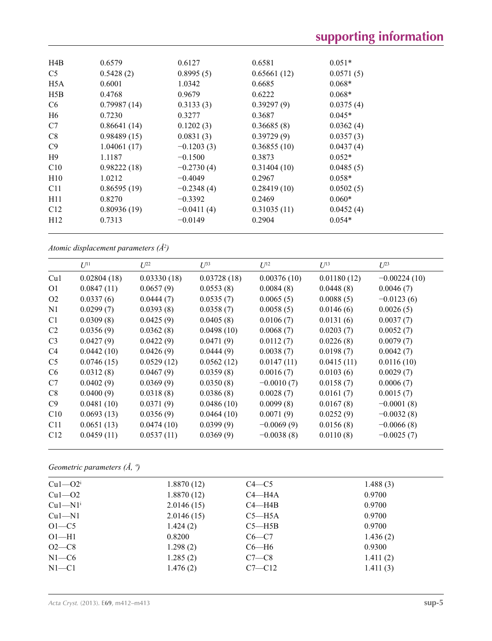| H4B              | 0.6579      | 0.6127       | 0.6581      | $0.051*$  |  |
|------------------|-------------|--------------|-------------|-----------|--|
| C <sub>5</sub>   | 0.5428(2)   | 0.8995(5)    | 0.65661(12) | 0.0571(5) |  |
| H <sub>5</sub> A | 0.6001      | 1.0342       | 0.6685      | $0.068*$  |  |
| H5B              | 0.4768      | 0.9679       | 0.6222      | $0.068*$  |  |
| C <sub>6</sub>   | 0.79987(14) | 0.3133(3)    | 0.39297(9)  | 0.0375(4) |  |
| H <sub>6</sub>   | 0.7230      | 0.3277       | 0.3687      | $0.045*$  |  |
| C7               | 0.86641(14) | 0.1202(3)    | 0.36685(8)  | 0.0362(4) |  |
| C8               | 0.98489(15) | 0.0831(3)    | 0.39729(9)  | 0.0357(3) |  |
| C9               | 1.04061(17) | $-0.1203(3)$ | 0.36855(10) | 0.0437(4) |  |
| H <sup>9</sup>   | 1.1187      | $-0.1500$    | 0.3873      | $0.052*$  |  |
| C10              | 0.98222(18) | $-0.2730(4)$ | 0.31404(10) | 0.0485(5) |  |
| H10              | 1.0212      | $-0.4049$    | 0.2967      | $0.058*$  |  |
| C11              | 0.86595(19) | $-0.2348(4)$ | 0.28419(10) | 0.0502(5) |  |
| H11              | 0.8270      | $-0.3392$    | 0.2469      | $0.060*$  |  |
| C12              | 0.80936(19) | $-0.0411(4)$ | 0.31035(11) | 0.0452(4) |  |
| H12              | 0.7313      | $-0.0149$    | 0.2904      | $0.054*$  |  |
|                  |             |              |             |           |  |

*Atomic displacement parameters (Å2 )*

|                | $U^{11}$    | $U^{22}$    | $U^{33}$    | $U^{12}$     | $U^{13}$    | $U^{23}$       |
|----------------|-------------|-------------|-------------|--------------|-------------|----------------|
| Cu1            | 0.02804(18) | 0.03330(18) | 0.03728(18) | 0.00376(10)  | 0.01180(12) | $-0.00224(10)$ |
| O <sub>1</sub> | 0.0847(11)  | 0.0657(9)   | 0.0553(8)   | 0.0084(8)    | 0.0448(8)   | 0.0046(7)      |
| O <sub>2</sub> | 0.0337(6)   | 0.0444(7)   | 0.0535(7)   | 0.0065(5)    | 0.0088(5)   | $-0.0123(6)$   |
| N1             | 0.0299(7)   | 0.0393(8)   | 0.0358(7)   | 0.0058(5)    | 0.0146(6)   | 0.0026(5)      |
| C <sub>1</sub> | 0.0309(8)   | 0.0425(9)   | 0.0405(8)   | 0.0106(7)    | 0.0131(6)   | 0.0037(7)      |
| C <sub>2</sub> | 0.0356(9)   | 0.0362(8)   | 0.0498(10)  | 0.0068(7)    | 0.0203(7)   | 0.0052(7)      |
| C <sub>3</sub> | 0.0427(9)   | 0.0422(9)   | 0.0471(9)   | 0.0112(7)    | 0.0226(8)   | 0.0079(7)      |
| C <sub>4</sub> | 0.0442(10)  | 0.0426(9)   | 0.0444(9)   | 0.0038(7)    | 0.0198(7)   | 0.0042(7)      |
| C <sub>5</sub> | 0.0746(15)  | 0.0529(12)  | 0.0562(12)  | 0.0147(11)   | 0.0415(11)  | 0.0116(10)     |
| C <sub>6</sub> | 0.0312(8)   | 0.0467(9)   | 0.0359(8)   | 0.0016(7)    | 0.0103(6)   | 0.0029(7)      |
| C7             | 0.0402(9)   | 0.0369(9)   | 0.0350(8)   | $-0.0010(7)$ | 0.0158(7)   | 0.0006(7)      |
| C8             | 0.0400(9)   | 0.0318(8)   | 0.0386(8)   | 0.0028(7)    | 0.0161(7)   | 0.0015(7)      |
| C9             | 0.0481(10)  | 0.0371(9)   | 0.0486(10)  | 0.0099(8)    | 0.0167(8)   | $-0.0001(8)$   |
| C10            | 0.0693(13)  | 0.0356(9)   | 0.0464(10)  | 0.0071(9)    | 0.0252(9)   | $-0.0032(8)$   |
| C11            | 0.0651(13)  | 0.0474(10)  | 0.0399(9)   | $-0.0069(9)$ | 0.0156(8)   | $-0.0066(8)$   |
| C12            | 0.0459(11)  | 0.0537(11)  | 0.0369(9)   | $-0.0038(8)$ | 0.0110(8)   | $-0.0025(7)$   |

*Geometric parameters (Å, º)*

| $Cu1 - O2i$           | 1.8870(12) | $C4 - C5$  | 1.488(3) |
|-----------------------|------------|------------|----------|
| $Cu1-02$              | 1.8870(12) | $C4 - H4A$ | 0.9700   |
| $Cu1-M1$ <sup>i</sup> | 2.0146(15) | $C4 - H4B$ | 0.9700   |
| $Cu1-M1$              | 2.0146(15) | $C5 - H5A$ | 0.9700   |
| $O1-C5$               | 1.424(2)   | $C5 - H5B$ | 0.9700   |
| $O1 - H1$             | 0.8200     | $C6-C7$    | 1.436(2) |
| $O2 - C8$             | 1.298(2)   | $C6 - H6$  | 0.9300   |
| $N1-C6$               | 1.285(2)   | $C7-C8$    | 1.411(2) |
| $N1 - C1$             | 1.476(2)   | $C7 - C12$ | 1.411(3) |
|                       |            |            |          |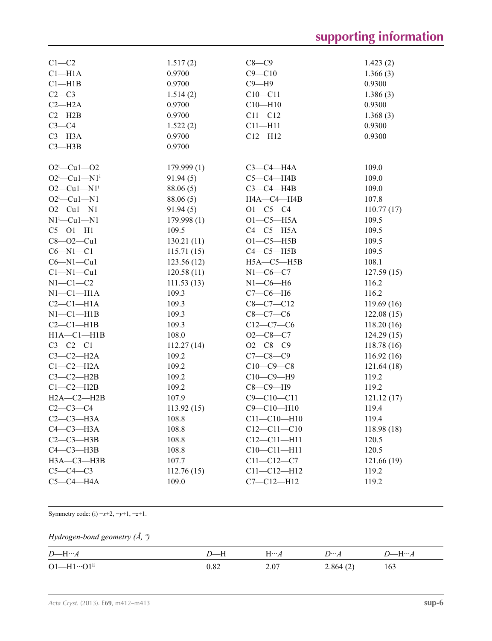# **supporting information**

| $C1 - C2$                   | 1.517(2)   | $C8-C9$           | 1.423(2)   |
|-----------------------------|------------|-------------------|------------|
| Cl <sub>–</sub> H1A         | 0.9700     | $C9 - C10$        | 1.366(3)   |
| $Cl$ -H1B                   | 0.9700     | $C9 - H9$         | 0.9300     |
| $C2-C3$                     | 1.514(2)   | $C10 - C11$       | 1.386(3)   |
| $C2 - H2A$                  | 0.9700     | $C10 - H10$       | 0.9300     |
| $C2 - H2B$                  | 0.9700     | $C11 - C12$       | 1.368(3)   |
| $C3-C4$                     | 1.522(2)   | $C11 - H11$       | 0.9300     |
| $C3 - H3A$                  | 0.9700     | $C12 - H12$       | 0.9300     |
| $C3 - H3B$                  | 0.9700     |                   |            |
|                             |            |                   |            |
| $O2^i$ -Cul- $O2$           | 179.999(1) | $C3-C4-H4A$       | 109.0      |
| $O2^i$ -Cul-N1 <sup>i</sup> | 91.94(5)   | $C5-C4-H4B$       | 109.0      |
| $O2-Cu1-N1$ <sup>i</sup>    | 88.06(5)   | $C3-C4-H4B$       | 109.0      |
| $O2^i$ -Cul-N1              | 88.06 (5)  | HA—C4—H4B         | 107.8      |
| $O2-Cu1-N1$                 | 91.94(5)   | $O1 - C5 - C4$    | 110.77(17) |
| $N1^i$ —Cu $1$ —N $1$       | 179.998(1) | $O1-C5-H5A$       | 109.5      |
| $C5 - O1 - H1$              | 109.5      | $C4-C5-H5A$       | 109.5      |
| $C8 - O2 - Cu1$             | 130.21(11) | $O1-C5-H5B$       | 109.5      |
| $C6 - N1 - C1$              | 115.71(15) | $C4-C5-H5B$       | 109.5      |
| $C6 - N1 - Cu1$             | 123.56(12) | $H5A - C5 - H5B$  | 108.1      |
| $Cl-M1-Cu1$                 | 120.58(11) | $N1-C6-C7$        | 127.59(15) |
| $N1-C1-C2$                  | 111.53(13) | $N1-C6-H6$        | 116.2      |
| $N1-C1-H1A$                 | 109.3      | $C7-C6-H6$        | 116.2      |
| $C2-C1-H1A$                 | 109.3      | $C8-C7-C12$       | 119.69(16) |
| $N1-C1-H1B$                 | 109.3      | $C8-C7-C6$        | 122.08(15) |
| $C2-C1-H1B$                 | 109.3      | $C12-C7-C6$       | 118.20(16) |
| $H1A - C1 - H1B$            | 108.0      | $O2-C8-C7$        | 124.29(15) |
| $C3-C2-C1$                  | 112.27(14) | $O2-C8-C9$        | 118.78(16) |
| $C3-C2-H2A$                 | 109.2      | $C7 - C8 - C9$    | 116.92(16) |
| $C1-C2-H2A$                 | 109.2      | $C10-C9-C8$       | 121.64(18) |
| $C3-C2-H2B$                 | 109.2      | $C10-C9-H9$       | 119.2      |
| $C1-C2-H2B$                 | 109.2      | $C8-C9-H9$        | 119.2      |
| $H2A - C2 - H2B$            | 107.9      | $C9 - C10 - C11$  | 121.12(17) |
| $C2-C3-C4$                  | 113.92(15) | $C9 - C10 - H10$  | 119.4      |
| $C2-C3-H3A$                 | 108.8      | $C11 - C10 - H10$ | 119.4      |
| $C4-C3-H3A$                 | 108.8      | $C12 - C11 - C10$ | 118.98(18) |
| $C2-C3-H3B$                 | 108.8      | $C12 - C11 - H11$ | 120.5      |
| $C4-C3-H3B$                 | 108.8      | $C10 - C11 - H11$ | 120.5      |
| НЗА-СЗ-НЗВ                  | 107.7      | $C11 - C12 - C7$  | 121.66(19) |
| $C5-C4-C3$                  | 112.76(15) | $C11 - C12 - H12$ | 119.2      |
| $C5-C4-H4A$                 | 109.0      | $C7 - C12 - H12$  | 119.2      |

Symmetry code: (i) −*x*+2, −*y*+1, −*z*+1.

#### *Hydrogen-bond geometry (Å, º)*

| $D$ —H… $A$                       | $D$ —H | $H\cdots A$ | $D \cdots A$ | $D\rightarrowtail H\cdots A$ |
|-----------------------------------|--------|-------------|--------------|------------------------------|
| $O1 - H1 \cdots O1$ <sup>ii</sup> | 0.82   | 2.07        | 2.864(2)     | 163                          |